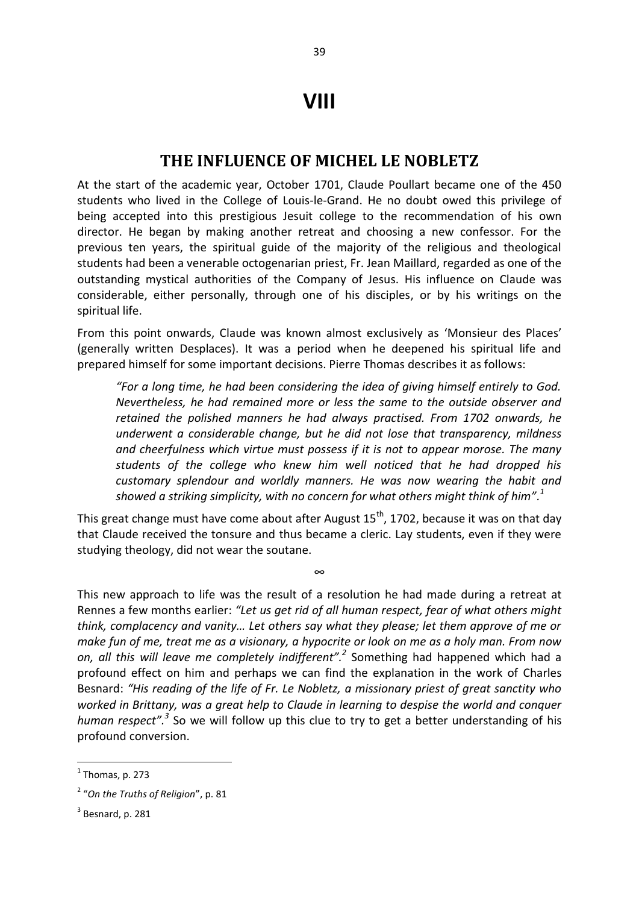## **VIII**

## **THE INFLUENCE OF MICHEL LE NOBLETZ**

At the start of the academic year, October 1701, Claude Poullart became one of the 450 students who lived in the College of Louis-le-Grand. He no doubt owed this privilege of being accepted into this prestigious Jesuit college to the recommendation of his own director. He began by making another retreat and choosing a new confessor. For the previous ten years, the spiritual guide of the majority of the religious and theological students had been a venerable octogenarian priest, Fr. Jean Maillard, regarded as one of the outstanding mystical authorities of the Company of Jesus. His influence on Claude was considerable, either personally, through one of his disciples, or by his writings on the spiritual life.

From this point onwards, Claude was known almost exclusively as 'Monsieur des Places' (generally written Desplaces). It was a period when he deepened his spiritual life and prepared himself for some important decisions. Pierre Thomas describes it as follows:

*"For a long time, he had been considering the idea of giving himself entirely to God. Nevertheless, he had remained more or less the same to the outside observer and retained the polished manners he had always practised. From 1702 onwards, he underwent a considerable change, but he did not lose that transparency, mildness and cheerfulness which virtue must possess if it is not to appear morose. The many students of the college who knew him well noticed that he had dropped his customary splendour and worldly manners. He was now wearing the habit and*  showed a striking simplicity, with no concern for what others might think of him". $^1$ 

This great change must have come about after August  $15<sup>th</sup>$ , 1702, because it was on that day that Claude received the tonsure and thus became a cleric. Lay students, even if they were studying theology, did not wear the soutane.

∞

This new approach to life was the result of a resolution he had made during a retreat at Rennes a few months earlier: *"Let us get rid of all human respect, fear of what others might think, complacency and vanity… Let others say what they please; let them approve of me or make fun of me, treat me as a visionary, a hypocrite or look on me as a holy man. From now on, all this will leave me completely indifferent".<sup>2</sup>* Something had happened which had a profound effect on him and perhaps we can find the explanation in the work of Charles Besnard: *"His reading of the life of Fr. Le Nobletz, a missionary priest of great sanctity who worked in Brittany, was a great help to Claude in learning to despise the world and conquer human respect".<sup>3</sup>* So we will follow up this clue to try to get a better understanding of his profound conversion.

**.** 

 $<sup>1</sup>$  Thomas, p. 273</sup>

<sup>2</sup> "*On the Truths of Religion*", p. 81

 $3$  Besnard, p. 281